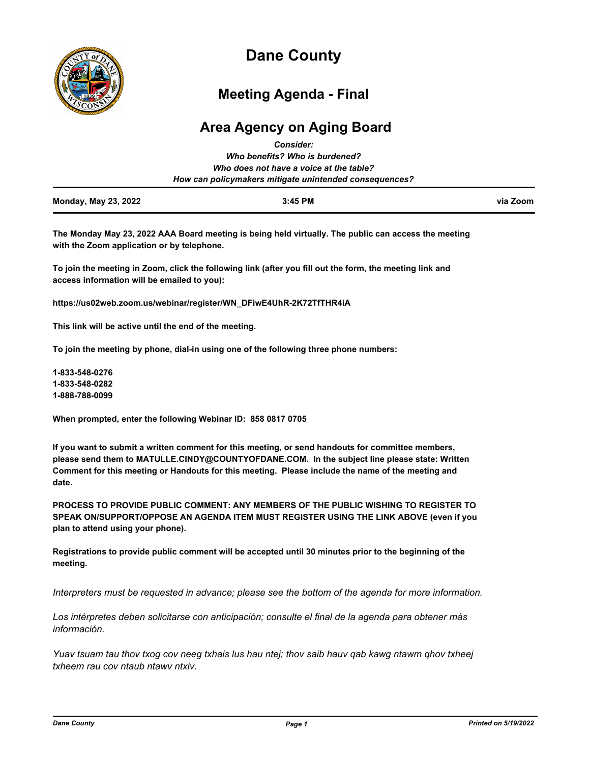

# **Dane County**

# **Meeting Agenda - Final**

# **Area Agency on Aging Board**

|                                | <b>Consider:</b>                                       |          |
|--------------------------------|--------------------------------------------------------|----------|
| Who benefits? Who is burdened? |                                                        |          |
|                                | Who does not have a voice at the table?                |          |
|                                | How can policymakers mitigate unintended consequences? |          |
| <b>Monday, May 23, 2022</b>    | $3:45$ PM                                              | via Zoom |

**The Monday May 23, 2022 AAA Board meeting is being held virtually. The public can access the meeting with the Zoom application or by telephone.** 

**To join the meeting in Zoom, click the following link (after you fill out the form, the meeting link and access information will be emailed to you):** 

**https://us02web.zoom.us/webinar/register/WN\_DFiwE4UhR-2K72TfTHR4iA**

**This link will be active until the end of the meeting.** 

**To join the meeting by phone, dial-in using one of the following three phone numbers:** 

**1-833-548-0276 1-833-548-0282 1-888-788-0099**

**When prompted, enter the following Webinar ID: 858 0817 0705**

**If you want to submit a written comment for this meeting, or send handouts for committee members, please send them to MATULLE.CINDY@COUNTYOFDANE.COM. In the subject line please state: Written Comment for this meeting or Handouts for this meeting. Please include the name of the meeting and date.**

**PROCESS TO PROVIDE PUBLIC COMMENT: ANY MEMBERS OF THE PUBLIC WISHING TO REGISTER TO SPEAK ON/SUPPORT/OPPOSE AN AGENDA ITEM MUST REGISTER USING THE LINK ABOVE (even if you plan to attend using your phone).** 

**Registrations to provide public comment will be accepted until 30 minutes prior to the beginning of the meeting.**

*Interpreters must be requested in advance; please see the bottom of the agenda for more information.*

*Los intérpretes deben solicitarse con anticipación; consulte el final de la agenda para obtener más información.*

*Yuav tsuam tau thov txog cov neeg txhais lus hau ntej; thov saib hauv qab kawg ntawm qhov txheej txheem rau cov ntaub ntawv ntxiv.*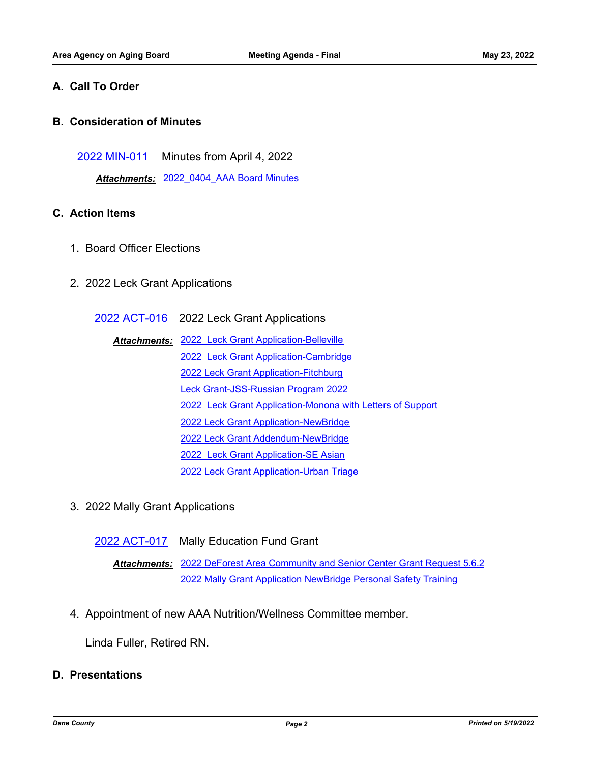## **A. Call To Order**

### **B. Consideration of Minutes**

[2022 MIN-011](http://dane.legistar.com/gateway.aspx?m=l&id=/matter.aspx?key=22722) Minutes from April 4, 2022

*Attachments:* [2022\\_0404\\_AAA Board Minutes](http://dane.legistar.com/gateway.aspx?M=F&ID=13d870ba-bef8-4ecc-bb77-5f116c2a3165.pdf)

# **C. Action Items**

- 1. Board Officer Elections
- 2. 2022 Leck Grant Applications

[2022 ACT-016](http://dane.legistar.com/gateway.aspx?m=l&id=/matter.aspx?key=22913) 2022 Leck Grant Applications

- [2022 Leck Grant Application-Belleville](http://dane.legistar.com/gateway.aspx?M=F&ID=38aad6d1-d6a3-4274-97a2-68b29a54b260.docx) *Attachments:* [2022 Leck Grant Application-Cambridge](http://dane.legistar.com/gateway.aspx?M=F&ID=b8bd6b0f-0b96-448b-8556-28bb68090c7d.pdf) [2022 Leck Grant Application-Fitchburg](http://dane.legistar.com/gateway.aspx?M=F&ID=252d0b34-17c1-444c-a1cd-fc3c9c2f6380.docx) [Leck Grant-JSS-Russian Program 2022](http://dane.legistar.com/gateway.aspx?M=F&ID=c413fac5-3c47-4bff-821b-b3689504c4ce.pdf) [2022 Leck Grant Application-Monona with Letters of Support](http://dane.legistar.com/gateway.aspx?M=F&ID=2ccb80fb-1b17-46be-8338-3bc434d293ef.pdf) [2022 Leck Grant Application-NewBridge](http://dane.legistar.com/gateway.aspx?M=F&ID=d9887357-bed4-4ee0-a6ad-649fa90ee7e0.pdf) [2022 Leck Grant Addendum-NewBridge](http://dane.legistar.com/gateway.aspx?M=F&ID=80e4e682-5b9c-4411-8d70-cf8b49d1a83e.pdf) [2022 Leck Grant Application-SE Asian](http://dane.legistar.com/gateway.aspx?M=F&ID=5bed541c-9e9f-469f-bdda-c263148c25b7.docx) [2022 Leck Grant Application-Urban Triage](http://dane.legistar.com/gateway.aspx?M=F&ID=32012923-73d9-4d8c-bb7a-fc20df03bc9b.pdf)
- 3. 2022 Mally Grant Applications

[2022 ACT-017](http://dane.legistar.com/gateway.aspx?m=l&id=/matter.aspx?key=22914) Mally Education Fund Grant

Attachments: [2022 DeForest Area Community and Senior Center Grant Request 5.6.2](http://dane.legistar.com/gateway.aspx?M=F&ID=49bb8818-e514-48db-9749-04c83ebd9ac5.pdf) [2022 Mally Grant Application NewBridge Personal Safety Training](http://dane.legistar.com/gateway.aspx?M=F&ID=4e647006-3313-4cac-8a88-bb493ce25778.pdf)

4. Appointment of new AAA Nutrition/Wellness Committee member.

Linda Fuller, Retired RN.

# **D. Presentations**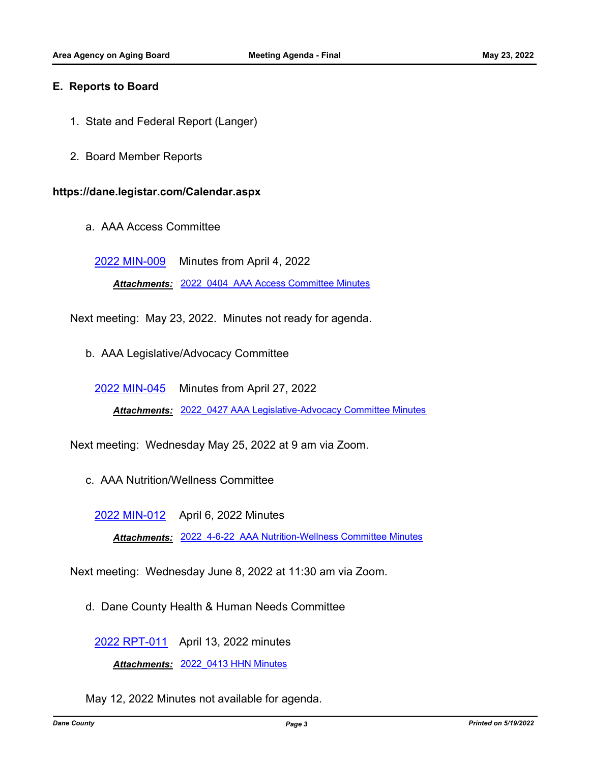#### **E. Reports to Board**

- 1. State and Federal Report (Langer)
- 2. Board Member Reports

#### **https://dane.legistar.com/Calendar.aspx**

a. AAA Access Committee

[2022 MIN-009](http://dane.legistar.com/gateway.aspx?m=l&id=/matter.aspx?key=22719) Minutes from April 4, 2022

*Attachments:* [2022\\_0404\\_AAA Access Committee Minutes](http://dane.legistar.com/gateway.aspx?M=F&ID=3f0b3a6f-5604-4658-bd3f-695f583b688f.pdf)

Next meeting: May 23, 2022. Minutes not ready for agenda.

b. AAA Legislative/Advocacy Committee

[2022 MIN-045](http://dane.legistar.com/gateway.aspx?m=l&id=/matter.aspx?key=22858) Minutes from April 27, 2022

*Attachments:* [2022\\_0427 AAA Legislative-Advocacy Committee Minutes](http://dane.legistar.com/gateway.aspx?M=F&ID=5f5e9b51-426d-40af-878c-3412fc6e4035.pdf)

Next meeting: Wednesday May 25, 2022 at 9 am via Zoom.

c. AAA Nutrition/Wellness Committee

[2022 MIN-012](http://dane.legistar.com/gateway.aspx?m=l&id=/matter.aspx?key=22723) April 6, 2022 Minutes

*Attachments:* [2022\\_4-6-22\\_AAA Nutrition-Wellness Committee Minutes](http://dane.legistar.com/gateway.aspx?M=F&ID=94d8d2b1-80e4-4e37-8c65-6d36560a1ade.pdf)

Next meeting: Wednesday June 8, 2022 at 11:30 am via Zoom.

d. Dane County Health & Human Needs Committee

[2022 RPT-011](http://dane.legistar.com/gateway.aspx?m=l&id=/matter.aspx?key=22724) April 13, 2022 minutes

*Attachments:* [2022\\_0413 HHN Minutes](http://dane.legistar.com/gateway.aspx?M=F&ID=8133d8df-bf5f-491b-8ccf-7e5633b52dad.pdf)

May 12, 2022 Minutes not available for agenda.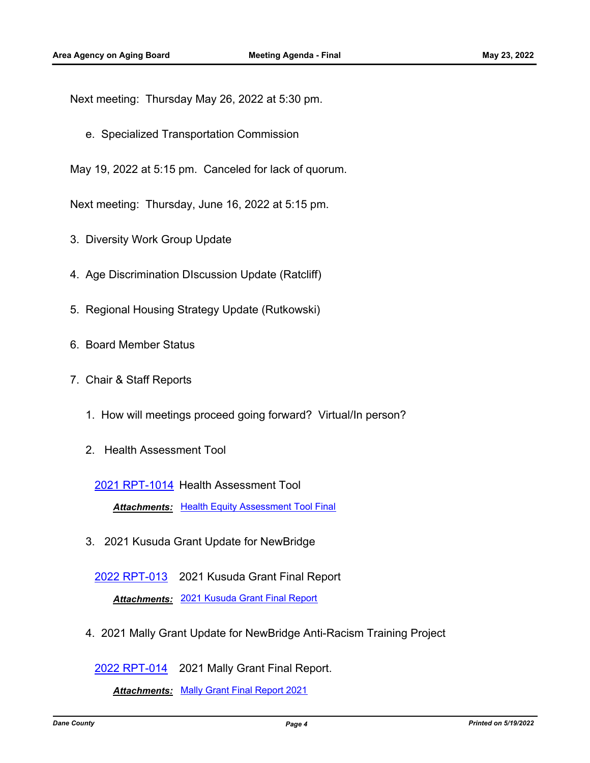Next meeting: Thursday May 26, 2022 at 5:30 pm.

e. Specialized Transportation Commission

May 19, 2022 at 5:15 pm. Canceled for lack of quorum.

Next meeting: Thursday, June 16, 2022 at 5:15 pm.

- 3. Diversity Work Group Update
- 4. Age Discrimination DIscussion Update (Ratcliff)
- 5. Regional Housing Strategy Update (Rutkowski)
- 6. Board Member Status
- 7. Chair & Staff Reports
	- 1. How will meetings proceed going forward? Virtual/In person?
	- 2. Health Assessment Tool

[2021 RPT-1014](http://dane.legistar.com/gateway.aspx?m=l&id=/matter.aspx?key=22599) Health Assessment Tool

**Attachments: [Health Equity Assessment Tool Final](http://dane.legistar.com/gateway.aspx?M=F&ID=84851a99-c888-4fcc-9d1c-b437962014e6.docx)** 

3. 2021 Kusuda Grant Update for NewBridge

[2022 RPT-013](http://dane.legistar.com/gateway.aspx?m=l&id=/matter.aspx?key=22726) 2021 Kusuda Grant Final Report *Attachments:* [2021 Kusuda Grant Final Report](http://dane.legistar.com/gateway.aspx?M=F&ID=1f7ec80d-ebbb-42cd-9a4d-9f121ad05a18.pdf)

4. 2021 Mally Grant Update for NewBridge Anti-Racism Training Project

[2022 RPT-014](http://dane.legistar.com/gateway.aspx?m=l&id=/matter.aspx?key=22727) 2021 Mally Grant Final Report.

*Attachments:* [Mally Grant Final Report 2021](http://dane.legistar.com/gateway.aspx?M=F&ID=c956da00-06d8-4c69-b9b5-7a471413e285.docx)